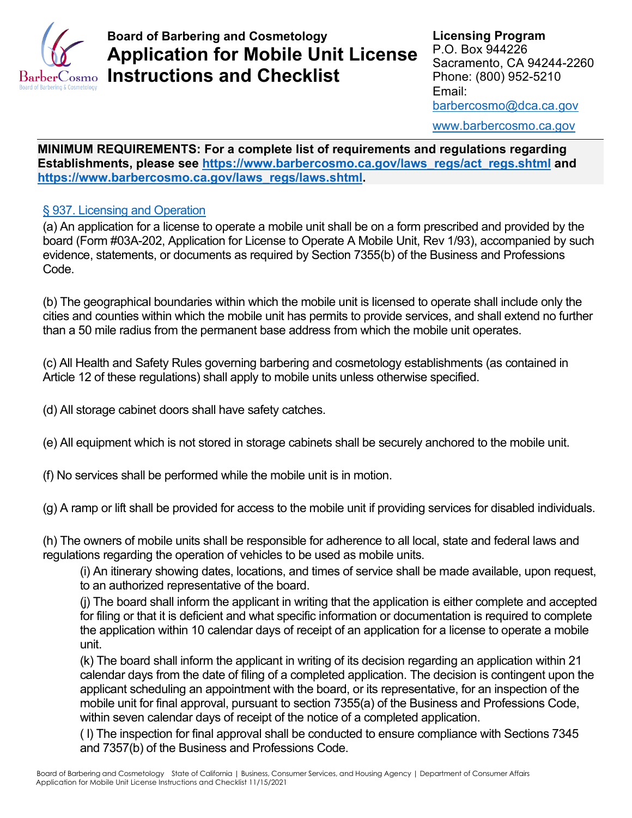

# **Board of Barbering and Cosmetology Application for Mobile Unit License Instructions and Checklist**

**Licensing Program** P.O. Box 944226 Sacramento, CA 94244-2260 Phone: (800) 952-5210 Email: [barbercosmo@dca.ca.gov](mailto:barbercosmo@dca.ca.gov)

[www.barbercosmo.ca.gov](http://www.barbercosmo.ca.gov/)

**MINIMUM REQUIREMENTS: For a complete list of requirements and regulations regarding Establishments, please see [https://www.barbercosmo.ca.gov/laws\\_regs/act\\_regs.shtml](https://www.barbercosmo.ca.gov/laws_regs/act_regs.shtml) and [https://www.barbercosmo.ca.gov/laws\\_regs/laws.shtml.](https://www.barbercosmo.ca.gov/laws_regs/laws.shtml)** 

# [§ 937. Licensing and Operation](https://govt.westlaw.com/calregs/Document/I566170F0D48C11DEBC02831C6D6C108E?viewType=FullText&originationContext=documenttoc&transitionType=CategoryPageItem&contextData=(sc.Default))

(a) An application for a license to operate a mobile unit shall be on a form prescribed and provided by the board (Form #03A-202, Application for License to Operate A Mobile Unit, Rev 1/93), accompanied by such evidence, statements, or documents as required by Section 7355(b) of the Business and Professions Code.

(b) The geographical boundaries within which the mobile unit is licensed to operate shall include only the cities and counties within which the mobile unit has permits to provide services, and shall extend no further than a 50 mile radius from the permanent base address from which the mobile unit operates.

(c) All Health and Safety Rules governing barbering and cosmetology establishments (as contained in Article 12 of these regulations) shall apply to mobile units unless otherwise specified.

(d) All storage cabinet doors shall have safety catches.

(e) All equipment which is not stored in storage cabinets shall be securely anchored to the mobile unit.

(f) No services shall be performed while the mobile unit is in motion.

(g) A ramp or lift shall be provided for access to the mobile unit if providing services for disabled individuals.

(h) The owners of mobile units shall be responsible for adherence to all local, state and federal laws and regulations regarding the operation of vehicles to be used as mobile units.

(i) An itinerary showing dates, locations, and times of service shall be made available, upon request, to an authorized representative of the board.

(j) The board shall inform the applicant in writing that the application is either complete and accepted for filing or that it is deficient and what specific information or documentation is required to complete the application within 10 calendar days of receipt of an application for a license to operate a mobile unit.

(k) The board shall inform the applicant in writing of its decision regarding an application within 21 calendar days from the date of filing of a completed application. The decision is contingent upon the applicant scheduling an appointment with the board, or its representative, for an inspection of the mobile unit for final approval, pursuant to section 7355(a) of the Business and Professions Code, within seven calendar days of receipt of the notice of a completed application.

( l) The inspection for final approval shall be conducted to ensure compliance with Sections 7345 and 7357(b) of the Business and Professions Code.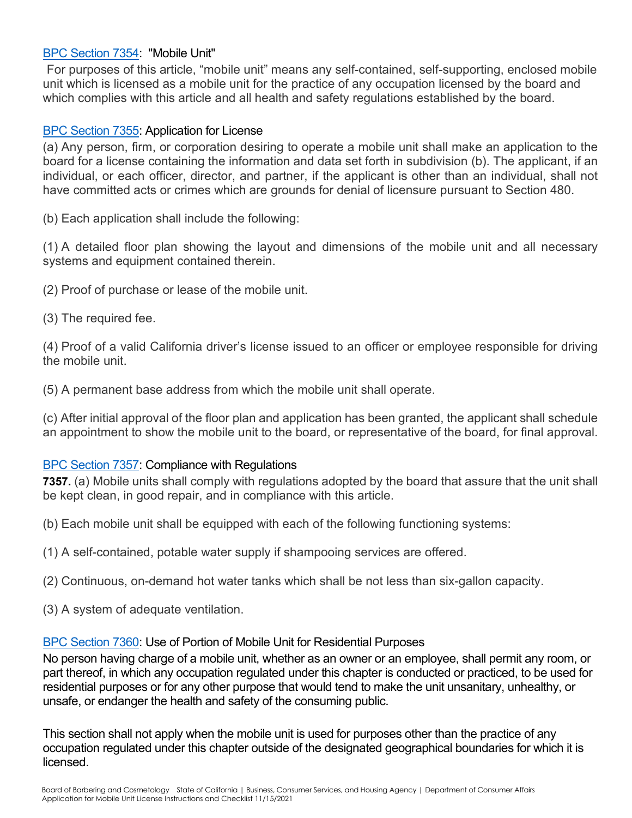#### [BPC Section 7354:](https://leginfo.legislature.ca.gov/faces/codes_displaySection.xhtml?lawCode=BPC§ionNum=7354.) "Mobile Unit"

For purposes of this article, "mobile unit" means any self-contained, self-supporting, enclosed mobile unit which is licensed as a mobile unit for the practice of any occupation licensed by the board and which complies with this article and all health and safety regulations established by the board.

#### [BPC Section 7355:](https://leginfo.legislature.ca.gov/faces/codes_displaySection.xhtml?lawCode=BPC§ionNum=7355.) Application for License

(a) Any person, firm, or corporation desiring to operate a mobile unit shall make an application to the board for a license containing the information and data set forth in subdivision (b). The applicant, if an individual, or each officer, director, and partner, if the applicant is other than an individual, shall not have committed acts or crimes which are grounds for denial of licensure pursuant to Section 480.

(b) Each application shall include the following:

(1) A detailed floor plan showing the layout and dimensions of the mobile unit and all necessary systems and equipment contained therein.

(2) Proof of purchase or lease of the mobile unit.

(3) The required fee.

(4) Proof of a valid California driver's license issued to an officer or employee responsible for driving the mobile unit.

(5) A permanent base address from which the mobile unit shall operate.

(c) After initial approval of the floor plan and application has been granted, the applicant shall schedule an appointment to show the mobile unit to the board, or representative of the board, for final approval.

#### [BPC Section 7357:](https://leginfo.legislature.ca.gov/faces/codes_displaySection.xhtml?lawCode=BPC§ionNum=7357.) Compliance with Regulations

**7357.** (a) Mobile units shall comply with regulations adopted by the board that assure that the unit shall be kept clean, in good repair, and in compliance with this article.

(b) Each mobile unit shall be equipped with each of the following functioning systems:

- (1) A self-contained, potable water supply if shampooing services are offered.
- (2) Continuous, on-demand hot water tanks which shall be not less than six-gallon capacity.
- (3) A system of adequate ventilation.

#### [BPC Section](https://leginfo.legislature.ca.gov/faces/codes_displaySection.xhtml?lawCode=BPC§ionNum=7360.) 7360: Use of Portion of Mobile Unit for Residential Purposes

No person having charge of a mobile unit, whether as an owner or an employee, shall permit any room, or part thereof, in which any occupation regulated under this chapter is conducted or practiced, to be used for residential purposes or for any other purpose that would tend to make the unit unsanitary, unhealthy, or unsafe, or endanger the health and safety of the consuming public.

This section shall not apply when the mobile unit is used for purposes other than the practice of any occupation regulated under this chapter outside of the designated geographical boundaries for which it is licensed.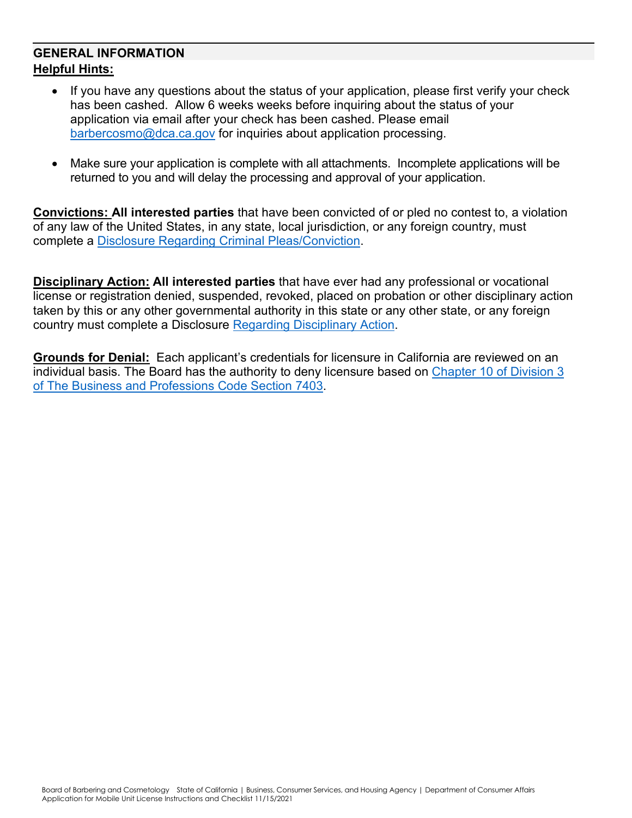# **GENERAL INFORMATION Helpful Hints:**

- If you have any questions about the status of your application, please first verify your check has been cashed. Allow 6 weeks weeks before inquiring about the status of your application via email after your check has been cashed. Please email [barbercosmo@dca.ca.gov](mailto:barbercosmo@dca.ca.gov) for inquiries about application processing.
- Make sure your application is complete with all attachments. Incomplete applications will be returned to you and will delay the processing and approval of your application.

**Convictions: All interested parties** that have been convicted of or pled no contest to, a violation of any law of the United States, in any state, local jurisdiction, or any foreign country, must complete a [Disclosure Regarding Criminal Pleas/Conviction.](https://barbercosmo.ca.gov/forms_pubs/forms/disc_crimpleas.pdf)

**Disciplinary Action: All interested parties** that have ever had any professional or vocational license or registration denied, suspended, revoked, placed on probation or other disciplinary action taken by this or any other governmental authority in this state or any other state, or any foreign country must complete a Disclosure [Regarding Disciplinary Action.](https://barbercosmo.ca.gov/forms_pubs/forms/disc_discact.pdf)

**Grounds for Denial:** Each applicant's credentials for licensure in California are reviewed on an individual basis. The Board has the authority to deny licensure based on [Chapter 10 of Division 3](http://leginfo.legislature.ca.gov/faces/codes_displaySection.xhtml?lawCode=BPC§ionNum=480.)  [of The Business and Professions Code Section 7403.](http://leginfo.legislature.ca.gov/faces/codes_displaySection.xhtml?lawCode=BPC§ionNum=480.)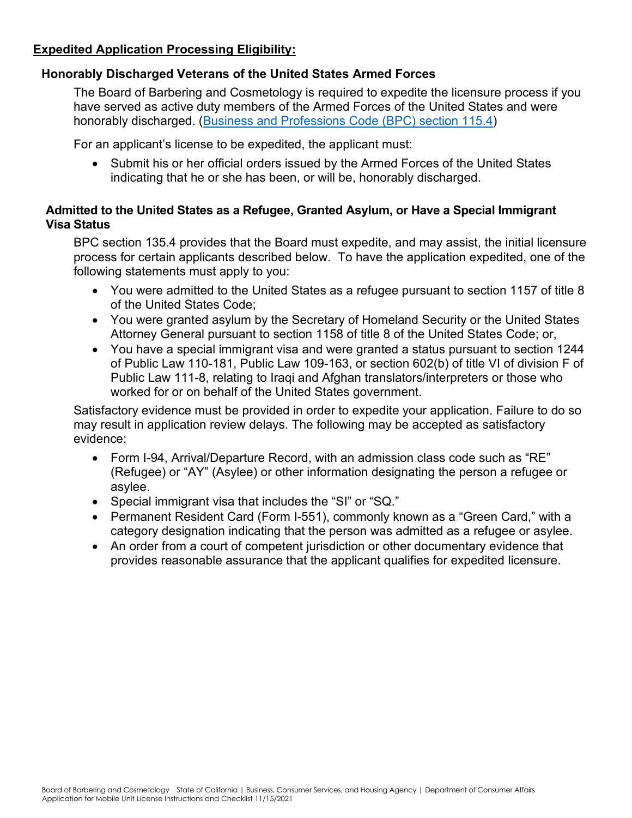# **Expedited Application Processing Eligibility:**

## **Honorably Discharged Veterans of the United States Armed Forces**

The Board of Barbering and Cosmetology is required to expedite the licensure process if you have served as active duty members of the Armed Forces of the United States and were honorably discharged. [\(Business and Professions Code \(BPC\) section 115.4\)](http://leginfo.legislature.ca.gov/faces/codes_displaySection.xhtml?lawCode=BPC§ionNum=115.4.)

For an applicant's license to be expedited, the applicant must:

• Submit his or her official orders issued by the Armed Forces of the United States indicating that he or she has been, or will be, honorably discharged.

## **Admitted to the United States as a Refugee, Granted Asylum, or Have a Special Immigrant Visa Status**

BPC section 135.4 provides that the Board must expedite, and may assist, the initial licensure process for certain applicants described below. To have the application expedited, one of the following statements must apply to you:

- You were admitted to the United States as a refugee pursuant to section 1157 of title 8 of the United States Code;
- You were granted asylum by the Secretary of Homeland Security or the United States Attorney General pursuant to section 1158 of title 8 of the United States Code; or,
- You have a special immigrant visa and were granted a status pursuant to section 1244 of Public Law 110-181, Public Law 109-163, or section 602(b) of title VI of division F of Public Law 111-8, relating to Iraqi and Afghan translators/interpreters or those who worked for or on behalf of the United States government.

Satisfactory evidence must be provided in order to expedite your application. Failure to do so may result in application review delays. The following may be accepted as satisfactory evidence:

- Form I-94, Arrival/Departure Record, with an admission class code such as "RE" (Refugee) or "AY" (Asylee) or other information designating the person a refugee or asylee.
- Special immigrant visa that includes the "SI" or "SQ."
- Permanent Resident Card (Form I-551), commonly known as a "Green Card," with a category designation indicating that the person was admitted as a refugee or asylee.
- An order from a court of competent jurisdiction or other documentary evidence that provides reasonable assurance that the applicant qualifies for expedited licensure.